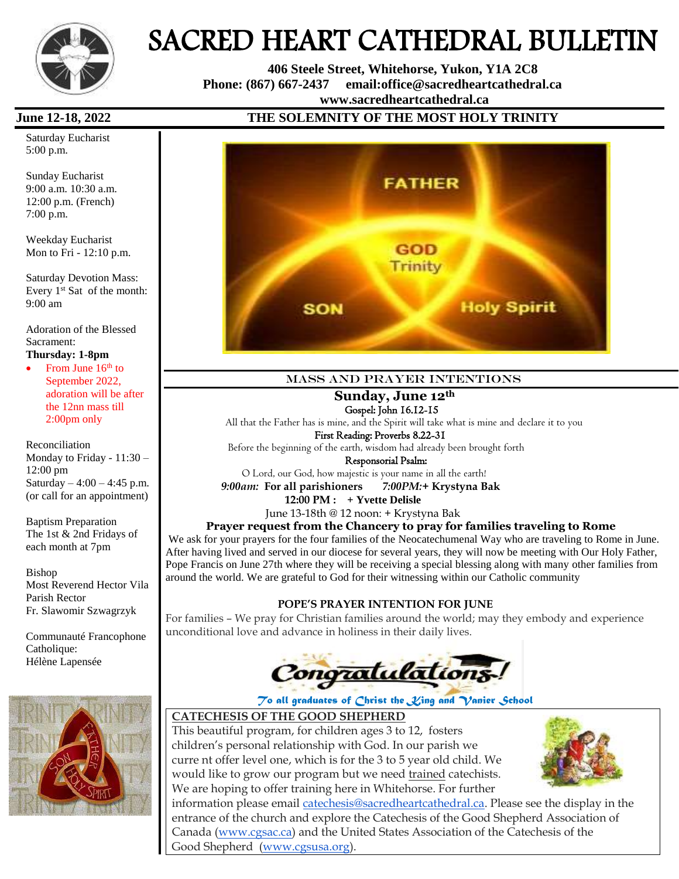

# SACRED HEART CATHEDRAL BULLETIN

 **406 Steele Street, Whitehorse, Yukon, Y1A 2C8 Phone: (867) 667-2437 email:office@sacredheartcathedral.ca [www.sacredheartcathedral.ca](http://www.sacredheartcathedral.ca/)**

Saturday Eucharist 5:00 p.m.

Sunday Eucharist 9:00 a.m. 10:30 a.m. 12:00 p.m. (French) 7:00 p.m.

Weekday Eucharist Mon to Fri - 12:10 p.m.

Saturday Devotion Mass: Every  $1<sup>st</sup>$  Sat of the month: 9:00 am

Adoration of the Blessed Sacrament:

**Thursday: 1-8pm**

From June  $16<sup>th</sup>$  to September 2022, adoration will be after the 12nn mass till 2:00pm only

Reconciliation Monday to Friday - 11:30 – 12:00 pm Saturday –  $4:00 - 4:45$  p.m. (or call for an appointment)

Baptism Preparation The 1st & 2nd Fridays of each month at 7pm

Bishop Most Reverend Hector Vila Parish Rector Fr. Slawomir Szwagrzyk

Communauté Francophone Catholique: Hélène Lapensée



### **June 12-18, 2022 THE SOLEMNITY OF THE MOST HOLY TRINITY**



#### Mass and prayer intentions

#### **Sunday, June 12th**

Gospel: John 16.12-15

 All that the Father has is mine, and the Spirit will take what is mine and declare it to you First Reading: Proverbs 8.22-31

Before the beginning of the earth, wisdom had already been brought forth

Responsorial Psalm:

O Lord, our God, how majestic is your name in all the earth!

 *9:00am:* **For all parishioners** *7:00PM:***+ Krystyna Bak**

**12:00 PM : + Yvette Delisle** 

June 13-18th @ 12 noon: + Krystyna Bak

#### **Prayer request from the Chancery to pray for families traveling to Rome**

We ask for your prayers for the four families of the Neocatechumenal Way who are traveling to Rome in June. After having lived and served in our diocese for several years, they will now be meeting with Our Holy Father, Pope Francis on June 27th where they will be receiving a special blessing along with many other families from around the world. We are grateful to God for their witnessing within our Catholic community

#### **POPE'S PRAYER INTENTION FOR JUNE**

For families – We pray for Christian families around the world; may they embody and experience unconditional love and advance in holiness in their daily lives.



#### *To all graduates of Christ the King and Vanier School*

#### **CATECHESIS OF THE GOOD SHEPHERD**

This beautiful program, for children ages 3 to 12, fosters children's personal relationship with God. In our parish we curre nt offer level one, which is for the 3 to 5 year old child. We would like to grow our program but we need trained catechists. We are hoping to offer training here in Whitehorse. For further



information please email [catechesis@sacredheartcathedral.ca.](mailto:catechesis@sacredheartcathedral.ca) Please see the display in the entrance of the church and explore the Catechesis of the Good Shepherd Association of Canada [\(www.cgsac.ca\)](http://www.cgsac.ca/) and the United States Association of the Catechesis of the Good Shepherd [\(www.cgsusa.org\)](http://www.cgsusa.org/).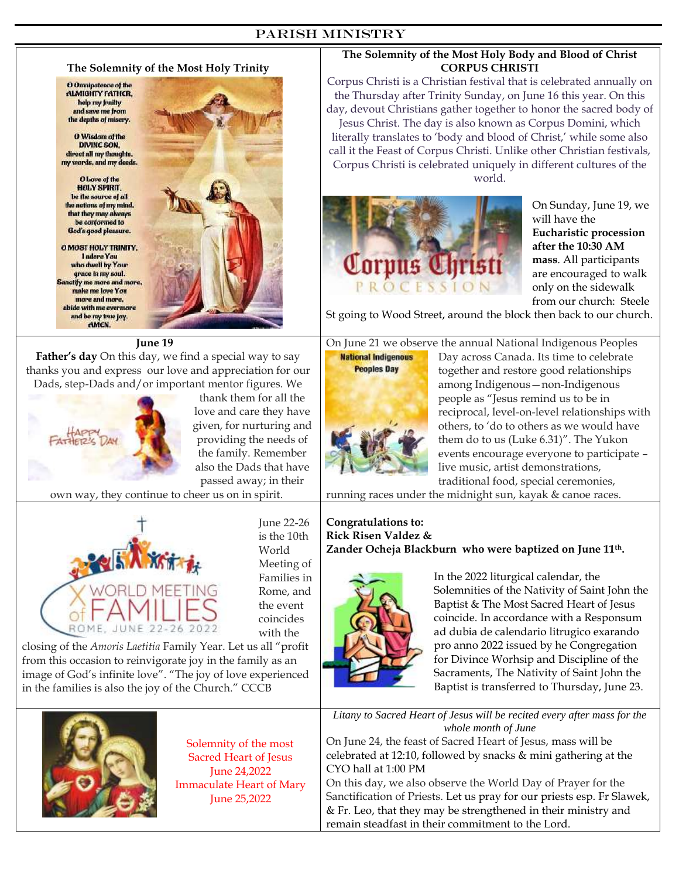#### PARISH Ministry



 Solemnity of the most Sacred Heart of Jesus June 24,2022 Immaculate Heart of Mary June 25,2022

On June 24, the feast of Sacred Heart of Jesus, mass will be celebrated at 12:10, followed by snacks & mini gathering at the CYO hall at 1:00 PM

On this day, we also observe the World Day of Prayer for the Sanctification of Priests. Let us pray for our priests esp. Fr Slawek, & Fr. Leo, that they may be strengthened in their ministry and remain steadfast in their commitment to the Lord.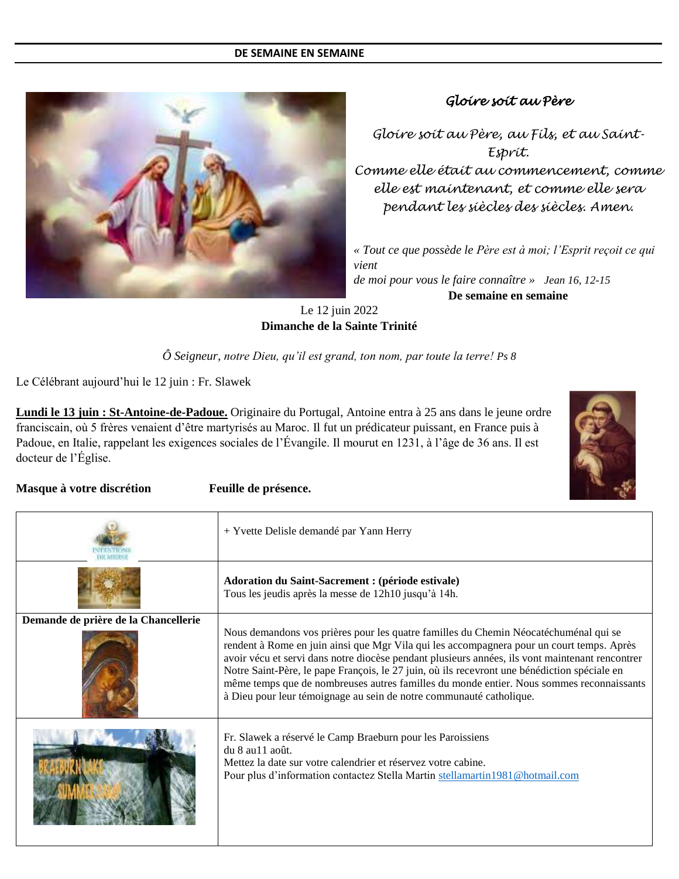#### **DE SEMAINE EN SEMAINE**



#### *Gloire soit au Père*

*Gloire soit au Père, au Fils, et au Saint-Esprit. Comme elle était au commencement, comme elle est maintenant, et comme elle sera pendant les siècles des siècles. Amen.*

*« Tout ce que possède le Père est à moi; l'Esprit reçoit ce qui vient de moi pour vous le faire connaître » Jean 16, 12-15* **De semaine en semaine**

#### Le 12 juin 2022 **Dimanche de la Sainte Trinité**

*Ô Seigneur, notre Dieu, qu'il est grand, ton nom, par toute la terre! Ps 8*

Le Célébrant aujourd'hui le 12 juin : Fr. Slawek

**Lundi le 13 juin : St-Antoine-de-Padoue.** Originaire du Portugal, Antoine entra à 25 ans dans le jeune ordre franciscain, où 5 frères venaient d'être martyrisés au Maroc. Il fut un prédicateur puissant, en France puis à Padoue, en Italie, rappelant les exigences sociales de l'Évangile. Il mourut en 1231, à l'âge de 36 ans. Il est docteur de l'Église.



**Masque à votre discrétion Feuille de présence.**

|                                      | + Yvette Delisle demandé par Yann Herry                                                                                                                                                                                                                                                                                                                                                                                                                         |  |  |  |  |  |
|--------------------------------------|-----------------------------------------------------------------------------------------------------------------------------------------------------------------------------------------------------------------------------------------------------------------------------------------------------------------------------------------------------------------------------------------------------------------------------------------------------------------|--|--|--|--|--|
|                                      | Adoration du Saint-Sacrement : (période estivale)<br>Tous les jeudis après la messe de 12h10 jusqu'à 14h.                                                                                                                                                                                                                                                                                                                                                       |  |  |  |  |  |
| Demande de prière de la Chancellerie | Nous demandons vos prières pour les quatre familles du Chemin Néocaté chuménal qui se                                                                                                                                                                                                                                                                                                                                                                           |  |  |  |  |  |
|                                      | rendent à Rome en juin ainsi que Mgr Vila qui les accompagnera pour un court temps. Après<br>avoir vécu et servi dans notre diocèse pendant plusieurs années, ils vont maintenant rencontrer<br>Notre Saint-Père, le pape François, le 27 juin, où ils recevront une bénédiction spéciale en<br>même temps que de nombreuses autres familles du monde entier. Nous sommes reconnaissants<br>à Dieu pour leur témoignage au sein de notre communauté catholique. |  |  |  |  |  |
|                                      | Fr. Slawek a réservé le Camp Braeburn pour les Paroissiens<br>du 8 au 11 août.<br>Mettez la date sur votre calendrier et réservez votre cabine.<br>Pour plus d'information contactez Stella Martin stellamartin1981@hotmail.com                                                                                                                                                                                                                                 |  |  |  |  |  |